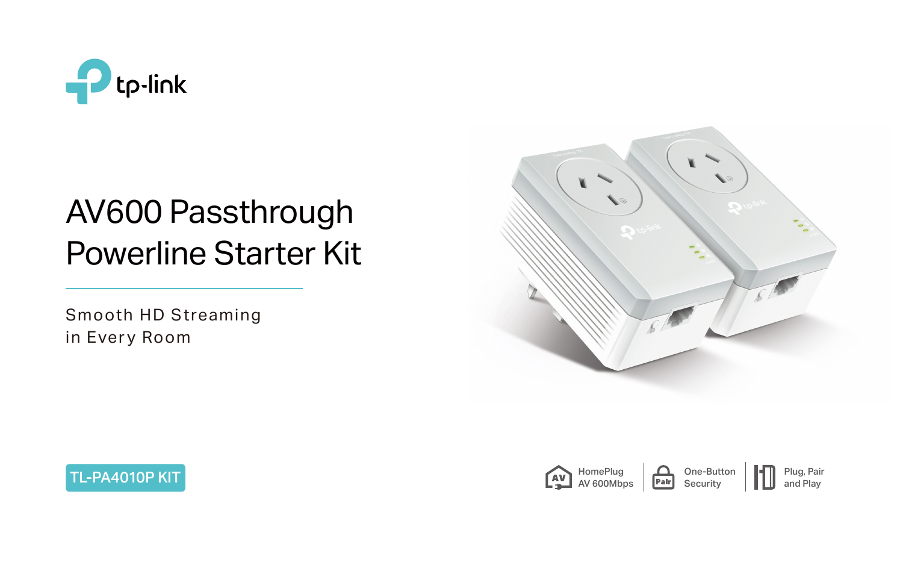

# AV600 Passthrough Powerline Starter Kit





Smooth HD Streaming in Every Room



One-Button Security







Plug, Pair and Play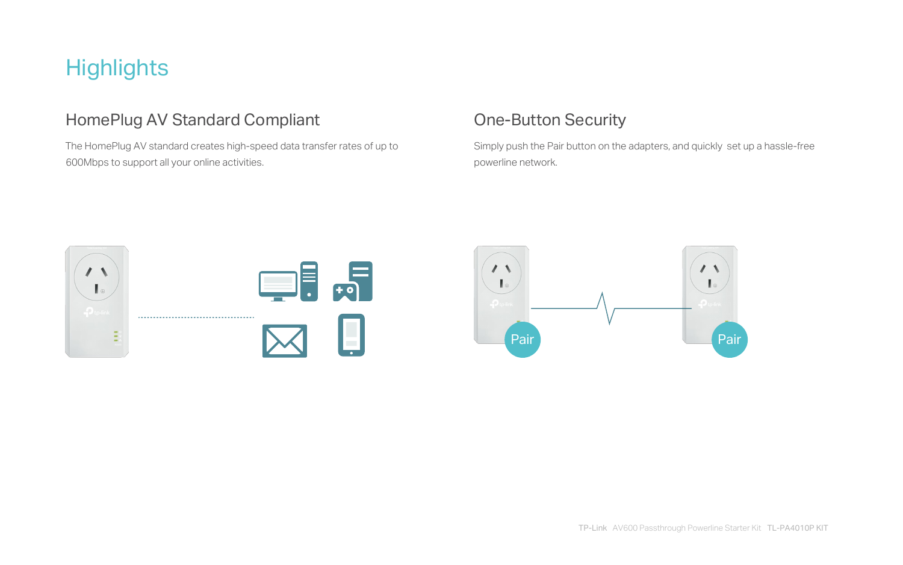# **Highlights**

### HomePlug AV Standard Compliant Compliant Complement Complement Complement Complement Complement Complement Complement Complement Complement Complement Complement Complement Complement Complement Complement Complement Compl

 The HomePlug AV standard creates high-speed data transfer rates of up to 600Mbps to support all your online activities.

Simply push the Pair button on the adapters, and quickly set up a hassle-free

powerline network.



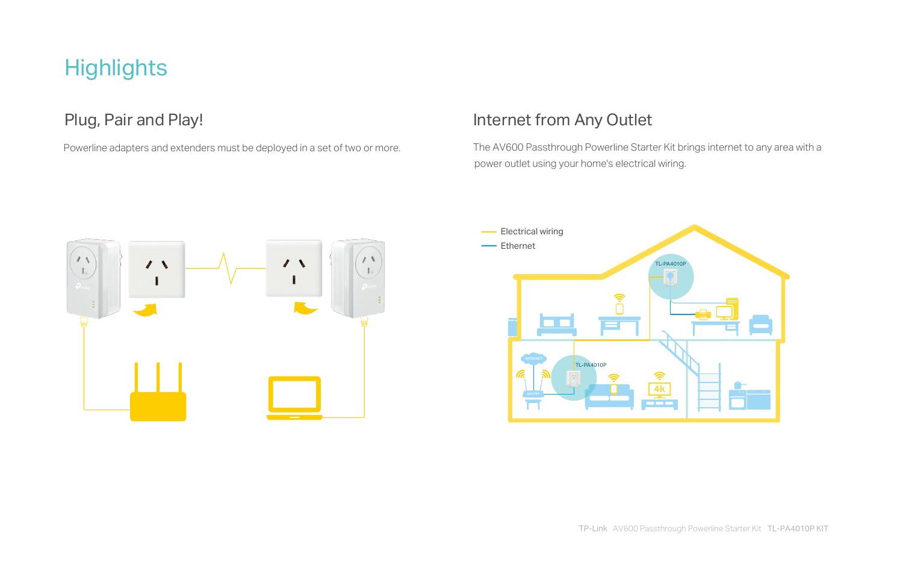The AV600 Passthrough Powerline Starter Kit brings internet to any area with a power outlet using your home's electrical wiring.



# **Highlights**

Powerline adapters and extenders must be deployed in a set of two or more.

### Plug, Pair and Play! Internet from Any Outlet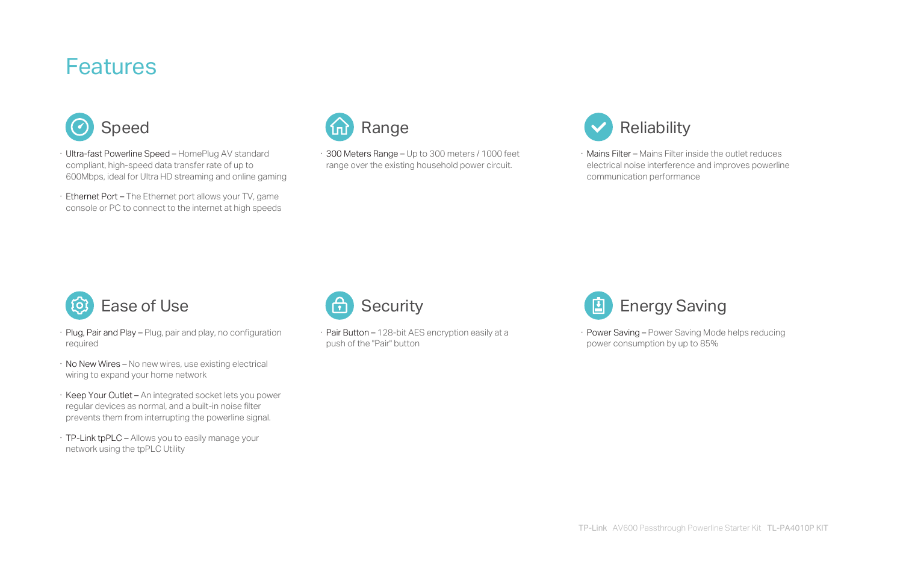- · Plug, Pair and Play Plug, pair and play, no configuration required
- · No New Wires No new wires, use existing electrical wiring to expand your home network
- · Keep Your Outlet An integrated socket lets you power regular devices as normal, and a built-in noise filter prevents them from interrupting the powerline signal.
- · TP-Link tpPLC Allows you to easily manage your network using the tpPLC Utility



· Pair Button – 128-bit AES encryption easily at a push of the "Pair" button



· Power Saving – Power Saving Mode helps reducing power consumption by up to 85%

- · Ultra-fast Powerline Speed HomePlug AV standard compliant, high-speed data transfer rate of up to 600Mbps, ideal for Ultra HD streaming and online gaming
- · Ethernet Port The Ethernet port allows your TV, game console or PC to connect to the internet at high speeds



· 300 Meters Range – Up to 300 meters / 1000 feet range over the existing household power circuit.





· Mains Filter – Mains Filter inside the outlet reduces electrical noise interference and improves powerline communication performance

## Features